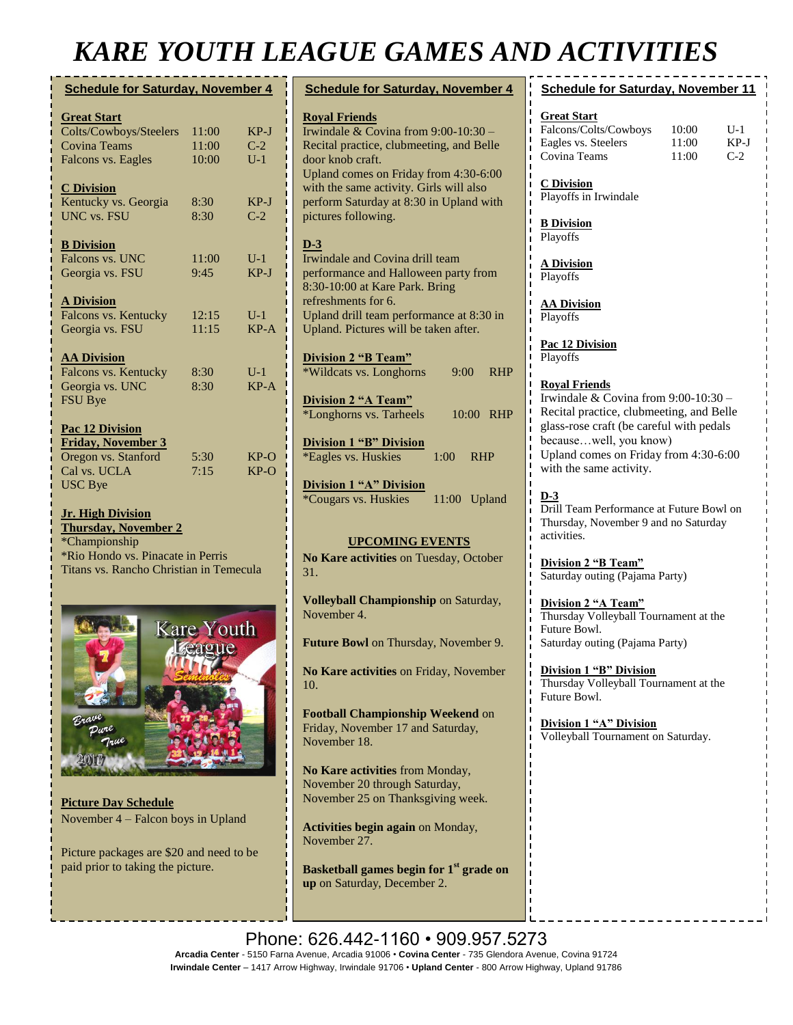## *KARE YOUTH LEAGUE GAMES AND ACTIVITIES*

| <b>Schedule for Saturday, November 4</b> |       |        |  |
|------------------------------------------|-------|--------|--|
| <b>Great Start</b>                       |       |        |  |
| Colts/Cowboys/Steelers                   | 11:00 | $KP-J$ |  |
| <b>Covina Teams</b>                      | 11:00 | $C-2$  |  |
| Falcons vs. Eagles                       | 10:00 | $U-1$  |  |
| <b>C</b> Division                        |       |        |  |
| Kentucky vs. Georgia                     | 8:30  | $KP-J$ |  |
| <b>UNC</b> vs. FSU                       | 8:30  | $C-2$  |  |
| <b>B</b> Division                        |       |        |  |
| Falcons vs. UNC                          | 11:00 | $U-1$  |  |
| Georgia vs. FSU                          | 9:45  | $KP-J$ |  |
| <b>A Division</b>                        |       |        |  |
| Falcons vs. Kentucky                     | 12:15 | $U-1$  |  |
| Georgia vs. FSU                          | 11:15 | $KP-A$ |  |
| <b>AA Division</b>                       |       |        |  |
| Falcons vs. Kentucky                     | 8:30  | $U-1$  |  |
| Georgia vs. UNC                          | 8:30  | KP-A   |  |
| FSU Bye                                  |       |        |  |
| <b>Pac 12 Division</b>                   |       |        |  |
| <b>Friday, November 3</b>                |       |        |  |
| Oregon vs. Stanford                      | 5:30  | $KP-O$ |  |
| Cal vs. UCLA                             | 7:15  | $KP-O$ |  |
| <b>USC</b> Bye                           |       |        |  |
|                                          |       |        |  |

#### **Jr. High Division Thursday, November 2**

\*Championship \*Rio Hondo vs. Pinacate in Perris Titans vs. Rancho Christian in Temecula



**Picture Day Schedule** November 4 – Falcon boys in Upland

Picture packages are \$20 and need to be paid prior to taking the picture.

| <b>Schedule for Saturday, November 4</b>                                                                                                           |                                   |  |
|----------------------------------------------------------------------------------------------------------------------------------------------------|-----------------------------------|--|
| <b>Royal Friends</b><br>Irwindale & Covina from $9:00-10:30$ –<br>Recital practice, clubmeeting, and Belle<br>door knob craft.                     | Gre<br>Falc<br>Eag<br>Cov         |  |
| Upland comes on Friday from 4:30-6:00<br>with the same activity. Girls will also<br>perform Saturday at 8:30 in Upland with<br>pictures following. | C <sub>D</sub><br>Play            |  |
| $D-3$                                                                                                                                              | B D<br>Play                       |  |
| Irwindale and Covina drill team<br>performance and Halloween party from<br>8:30-10:00 at Kare Park. Bring                                          | ΑD<br>Play                        |  |
| refreshments for 6.<br>Upland drill team performance at 8:30 in<br>Upland. Pictures will be taken after.                                           |                                   |  |
| <b>Division 2 "B Team"</b><br>*Wildcats vs. Longhorns<br><b>RHP</b><br>9:00                                                                        | Pac<br>Play                       |  |
| Division 2 "A Team"<br>*Longhorns vs. Tarheels<br>10:00<br><b>RHP</b>                                                                              | Roy<br>Irwi<br>Rec                |  |
| <b>Division 1 "B" Division</b><br>*Eagles vs. Huskies<br>1:00<br><b>RHP</b>                                                                        | glas<br>ī<br>bec:<br>Upl          |  |
| <b>Division 1 "A" Division</b><br><i>*Cougars vs. Huskies</i><br>11:00 Upland                                                                      | with<br><u>D-3</u><br>Dril<br>Thu |  |
| <b>UPCOMING EVENTS</b><br>No Kare activities on Tuesday, October<br>31.                                                                            | activ<br><b>Divi</b>              |  |
| Volleyball Championship on Saturday,<br>November 4.                                                                                                | Satu<br>Divi<br>Thu               |  |
| Future Bowl on Thursday, November 9.                                                                                                               | Futi<br>Satu<br>Ï                 |  |
| No Kare activities on Friday, November<br>10.                                                                                                      |                                   |  |
| Football Championship Weekend on<br>Friday, November 17 and Saturday,<br>November 18.                                                              |                                   |  |
| No Kare activities from Monday,<br>November 20 through Saturday,<br>November 25 on Thanksgiving week.                                              | ı<br>ı<br>ı                       |  |

**Activities begin again** on Monday, November 27.

**Basketball games begin for 1st grade on up** on Saturday, December 2.

| <b>Schedule for Saturday, November 11</b> |       |        |  |  |
|-------------------------------------------|-------|--------|--|--|
|                                           |       |        |  |  |
| <b>Great Start</b>                        |       |        |  |  |
| Falcons/Colts/Cowboys                     | 10:00 | $U-1$  |  |  |
| Eagles vs. Steelers                       | 11:00 | $KP-J$ |  |  |
| Covina Teams                              | 11:00 | $C-2$  |  |  |
|                                           |       |        |  |  |
| <b>C</b> Division                         |       |        |  |  |
| Playoffs in Irwindale                     |       |        |  |  |
| <b>B</b> Division                         |       |        |  |  |
| Playoffs                                  |       |        |  |  |
|                                           |       |        |  |  |
| <b>A Division</b>                         |       |        |  |  |
| Playoffs                                  |       |        |  |  |
|                                           |       |        |  |  |
| <b>AA Division</b>                        |       |        |  |  |
| Playoffs                                  |       |        |  |  |
| Pac 12 Division                           |       |        |  |  |
| Playoffs                                  |       |        |  |  |
|                                           |       |        |  |  |
| <b>Royal Friends</b>                      |       |        |  |  |
| Irwindale & Covina from $9:00-10:30$      |       |        |  |  |
| Recital practice, clubmeeting, and Belle  |       |        |  |  |
| glass-rose craft (be careful with pedals  |       |        |  |  |
| becausewell, you know)                    |       |        |  |  |
| Upland comes on Friday from 4:30-6:00     |       |        |  |  |
| with the same activity.                   |       |        |  |  |

Il Team Performance at Future Bowl on rsday, November 9 and no Saturday vities.

**Division 2 "B Team"**  $rctay$  outing (Pajama Party)

**Division 2 "A Team"** rsday Volleyball Tournament at the are Bowl. Irday outing (Pajama Party)

**dividing 1 "B" Division** rsday Volleyball Tournament at the are Bowl.

**Division 1 "A" Division** leyball Tournament on Saturday.